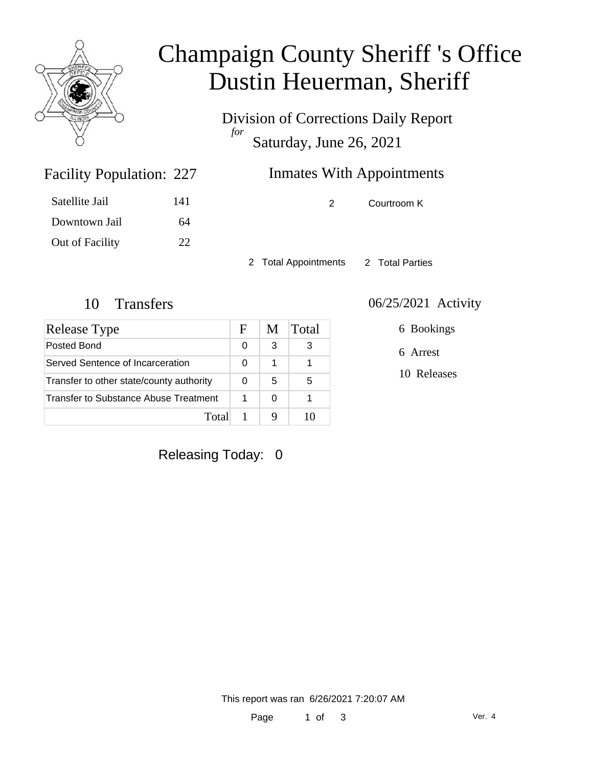

# Champaign County Sheriff 's Office Dustin Heuerman, Sheriff

Division of Corrections Daily Report *for* Saturday, June 26, 2021

## Inmates With Appointments

| Satellite Jail  | 141 |
|-----------------|-----|
| Downtown Jail   | 64  |
| Out of Facility | 22  |

Facility Population: 227

2 Courtroom K

2 Total Appointments 2 Total Parties

| Release Type                             | F | M | Total |
|------------------------------------------|---|---|-------|
| Posted Bond                              | 0 | 3 | З     |
| Served Sentence of Incarceration         |   | 1 |       |
| Transfer to other state/county authority |   | 5 | 5     |
| Transfer to Substance Abuse Treatment    |   | 0 |       |
| Total                                    |   |   |       |

### 10 Transfers 06/25/2021 Activity

6 Bookings

6 Arrest

10 Releases

Releasing Today: 0

This report was ran 6/26/2021 7:20:07 AM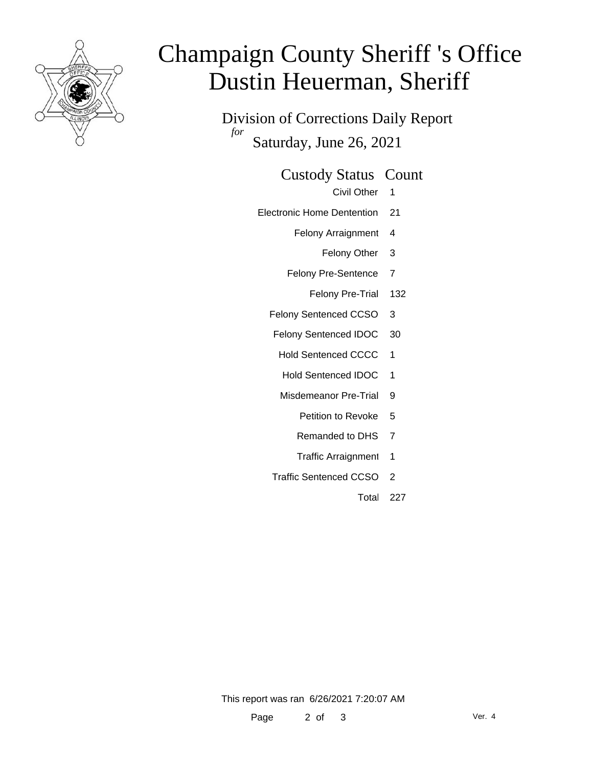

# Champaign County Sheriff 's Office Dustin Heuerman, Sheriff

Division of Corrections Daily Report *for* Saturday, June 26, 2021

#### Custody Status Count

- Civil Other 1
- Electronic Home Dentention 21
	- Felony Arraignment 4
		- Felony Other 3
	- Felony Pre-Sentence 7
		- Felony Pre-Trial 132
	- Felony Sentenced CCSO 3
	- Felony Sentenced IDOC 30
		- Hold Sentenced CCCC 1
		- Hold Sentenced IDOC 1
		- Misdemeanor Pre-Trial 9
			- Petition to Revoke 5
			- Remanded to DHS 7
			- Traffic Arraignment 1
	- Traffic Sentenced CCSO 2
		- Total 227

This report was ran 6/26/2021 7:20:07 AM